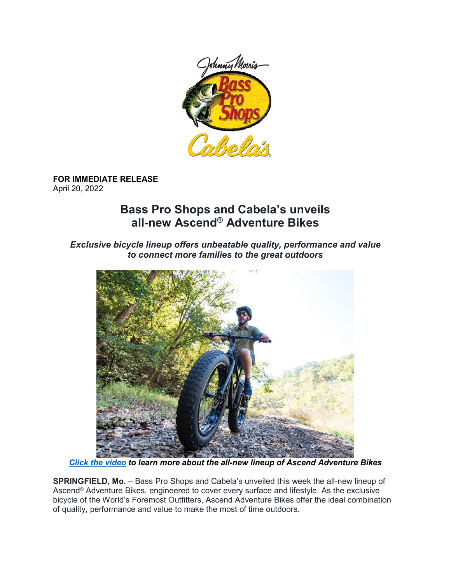

**FOR IMMEDIATE RELEASE** April 20, 2022

## **Bass Pro Shops and Cabela's unveils all-new Ascend**® **Adventure Bikes**

*Exclusive bicycle lineup offers unbeatable quality, performance and value to connect more families to the great outdoors*



*[Click the](https://vimeo.com/700557029/8c3296219c) video to learn more about the all-new lineup of Ascend Adventure Bikes*

**SPRINGFIELD, Mo.** – Bass Pro Shops and Cabela's unveiled this week the all-new lineup of Ascend® Adventure Bikes, engineered to cover every surface and lifestyle. As the exclusive bicycle of the World's Foremost Outfitters, Ascend Adventure Bikes offer the ideal combination of quality, performance and value to make the most of time outdoors.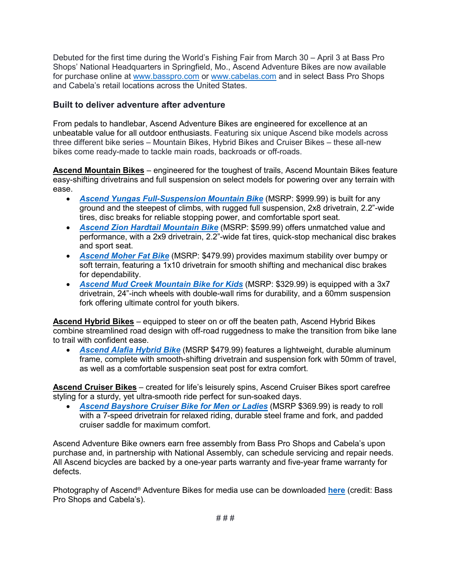Debuted for the first time during the World's Fishing Fair from March 30 – April 3 at Bass Pro Shops' National Headquarters in Springfield, Mo., Ascend Adventure Bikes are now available for purchase online at [www.basspro.com](http://www.basspro.com/) or [www.cabelas.com](http://www.cabelas.com/) and in select Bass Pro Shops and Cabela's retail locations across the United States.

## **Built to deliver adventure after adventure**

From pedals to handlebar, Ascend Adventure Bikes are engineered for excellence at an unbeatable value for all outdoor enthusiasts. Featuring six unique Ascend bike models across three different bike series – Mountain Bikes, Hybrid Bikes and Cruiser Bikes – these all-new bikes come ready-made to tackle main roads, backroads or off-roads.

**Ascend Mountain Bikes** – engineered for the toughest of trails, Ascend Mountain Bikes feature easy-shifting drivetrains and full suspension on select models for powering over any terrain with ease.

- *[Ascend Yungas Full-Suspension Mountain Bike](https://www.basspro.com/shop/en/ascend-yungas-full-suspension-mountain-bike)* (MSRP: \$999.99) is built for any ground and the steepest of climbs, with rugged full suspension, 2x8 drivetrain, 2.2"-wide tires, disc breaks for reliable stopping power, and comfortable sport seat.
- *[Ascend Zion Hardtail Mountain Bike](https://www.basspro.com/shop/en/ascend-zion-hardtail-mountain-bike)* (MSRP: \$599.99) offers unmatched value and performance, with a 2x9 drivetrain, 2.2"-wide fat tires, quick-stop mechanical disc brakes and sport seat.
- *[Ascend Moher Fat Bike](https://www.basspro.com/shop/en/ascend-moher-fat-bike)* (MSRP: \$479.99) provides maximum stability over bumpy or soft terrain, featuring a 1x10 drivetrain for smooth shifting and mechanical disc brakes for dependability.
- *[Ascend Mud Creek Mountain Bike for Kids](https://www.basspro.com/shop/en/ascend-mud-creek-mountain-bike-with-step-through-frame-for-kids)* (MSRP: \$329.99) is equipped with a 3x7 drivetrain, 24"-inch wheels with double-wall rims for durability, and a 60mm suspension fork offering ultimate control for youth bikers.

**Ascend Hybrid Bikes** – equipped to steer on or off the beaten path, Ascend Hybrid Bikes combine streamlined road design with off-road ruggedness to make the transition from bike lane to trail with confident ease.

• *[Ascend Alafia Hybrid Bike](https://www.basspro.com/shop/en/ascend-alafia-hybrid-bikes)* (MSRP \$479.99) features a lightweight, durable aluminum frame, complete with smooth-shifting drivetrain and suspension fork with 50mm of travel, as well as a comfortable suspension seat post for extra comfort.

**Ascend Cruiser Bikes** – created for life's leisurely spins, Ascend Cruiser Bikes sport carefree styling for a sturdy, yet ultra-smooth ride perfect for sun-soaked days.

• *[Ascend Bayshore Cruiser Bike for Men or Ladies](https://www.basspro.com/shop/en/ascend-bayshore-bikes)* (MSRP \$369.99) is ready to roll with a 7-speed drivetrain for relaxed riding, durable steel frame and fork, and padded cruiser saddle for maximum comfort.

Ascend Adventure Bike owners earn free assembly from Bass Pro Shops and Cabela's upon purchase and, in partnership with National Assembly, can schedule servicing and repair needs. All Ascend bicycles are backed by a one-year parts warranty and five-year frame warranty for defects.

Photography of Ascend® Adventure Bikes for media use can be downloaded **[here](https://www.dropbox.com/sh/awv81zh63qxctbo/AAC53ouTg1RRUUCXj7LnyL5Za?dl=0)** (credit: Bass Pro Shops and Cabela's).